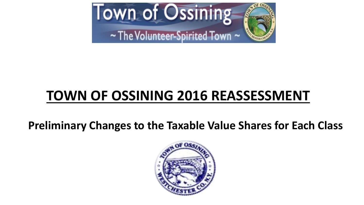

# **TOWN OF OSSINING 2016 REASSESSMENT**

**Preliminary Changes to the Taxable Value Shares for Each Class**

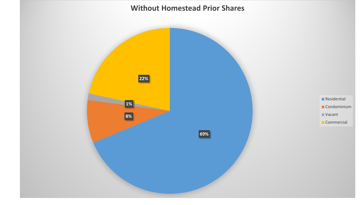#### **Without Homestead Prior Shares**

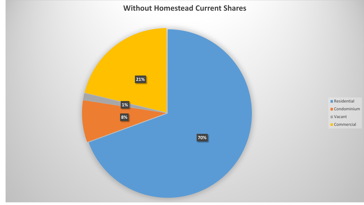#### **Without Homestead Current Shares**



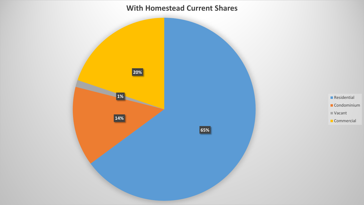#### **With Homestead Current Shares**



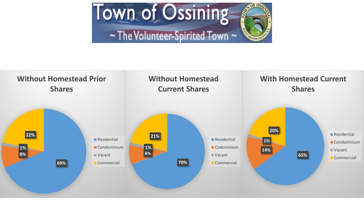

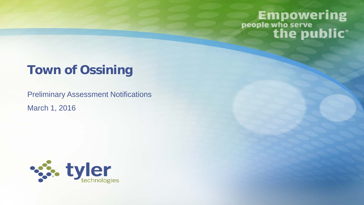# **Empowering** people who serve<br>
the public<sup>®</sup>

## **Town of Ossining**

Preliminary Assessment Notifications March 1, 2016

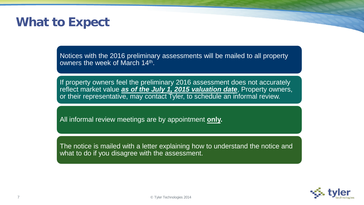### **What to Expect**

Notices with the 2016 preliminary assessments will be mailed to all property owners the week of March 14<sup>th</sup>.

If property owners feel the preliminary 2016 assessment does not accurately reflect market value *as of the July 1, 2015 valuation date*, Property owners, or their representative, may contact Tyler, to schedule an informal review.

All informal review meetings are by appointment **only.**

The notice is mailed with a letter explaining how to understand the notice and what to do if you disagree with the assessment.

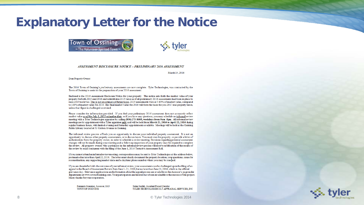#### **Explanatory Letter for the Notice**





#### ASSESSMENT DISCLOSURE NOTICE - PRELIMINARY 2016 ASSESSMENT

March 14, 2016

Dear Property Owner:

The 2016 Town of Ossining's preliminary assessments are now complete. Tyler Technologies, was contracted by the Town of Ossining to assist in the preparation of your 2016 assessment.

Enclosed is the 2016 Assessment Disclosure Notice for your property. This notice sets forth the market value of your property for both 2015 and 2016 and redistributes 2015 taxes as if all preliminary 2016 assessments had been in place to raise 2015 tax levies. This is not an estimate of future taxes. 2015 assessments were at 5.65% of market value, compared to 100% of market value for 2016. The final market value for 2016 will form the basis for you 2017 real property taxes, unless that figure is challenged or revised.

Please consider the information provided. If you feel your preliminary 2016 assessment does not accurately reflect market value as of the July 1, 2015 valuation date, or if you have any questions, you may schedule an informal review meeting with a Tyler Technologies appraiser by calling (800) 273-8605, weekdays from 9am -5pm. All informal review meetings are by appointment with a Tyler appraiser only and will be held from March 21, 2016 to April 22, 2016 during regular business hours, with limited evening and Saturday appointments available. Meetings will be held at the Ossining Public Library located at 53 Croton Avenue in Ossining.

The informal review process affords you an opportunity to discuss your individual property assessment. It is not an opportunity to discuss other property assessments, or to discuss taxes. You must own the property, or provide a letter of authorization from the property owner, in order to schedule a review meeting. Decisions regarding potential assessment changes will not be made during your meeting and a follow-up inspection of your property may be required to complete the review. All property owners who participate in the informal review process will receive notification of the results of the review by mail concurrent with the filing of the June 1, 2016 Tentative Assessment Roll.

If you cannot attend an informal review meeting, correspondence may be sent to Tyler Technologies at the address below, postmarked no later than April 22, 2016. The letter must clearly document the property location, your questions, cause for reconsideration, any supporting market data and a daytime phone number where you may be reached.

If you are dissatisfied with the outcome of your informal review, your assessments can be challenged upon the filing of an appeal to the Board of Assessment Review from June 1-21, 2016, but no later than June 21, 2016, which is the official grievance day. Grievance applications and information about the appeal process are available on the Assessor's page under departments at www.townofossining.com. Your participation and interest have been invaluable to the success of this project. Many thanks for your cooperation.

Fernando Gonzalez, Assessor, IAO **TOWN OF OSSINING** 

Salim Serdah, Assistant Project Director TYLER TECHNOLOGIES/CLT APPRAISAL SERVICES, INC

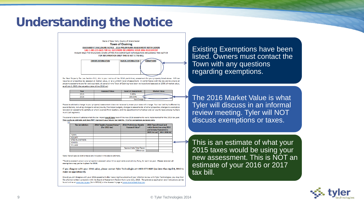#### **Understanding the Notice**



requires all properties be assessed at market value, or at a uniform level of assessment. In conformance with the law and to ensure all property assessments are fair and equitable, all parcels in the Town of Ossining have been reviewed and assessed at 100% of market value. as of July 1, 2015; the valuation date of the 2016 roll

| Year | <b>Assessed Value</b> | <b>Level of Assessment</b> | <b>Market Value</b> |
|------|-----------------------|----------------------------|---------------------|
| 2015 |                       | 5.65%                      |                     |
| 2016 |                       | 100 00%                    |                     |
|      |                       | Net Change                 |                     |

Please be advised a change in your property's assessment does not necessarily mean your taxes will change. Your tax liability is affected by several factors, including: changes to school/county/municipal budgets, changes to assessments of other properties, changes to exemption laws and /or assessments partially or wholly exempt from taxation, and the apportionment of school and /or county taxes among multiple municipal segments.

The scenario below illustrates what the tax impact would have been if the new 2016 assessments were implemented for the 2015 tax year. This is only an estimate and does NOT represent your future tax liability. It is for comparison purposes only.

| <b>Tax Jurisdiction</b>  | 2014 Taxable Assessed Value*<br>(for 2015 tax) | 2016 Preliminary Taxable<br>Assessed Value* | 2015 Taxes (Actual) and<br>redistributed tax using 2016<br>preliminary Assessments |                     |
|--------------------------|------------------------------------------------|---------------------------------------------|------------------------------------------------------------------------------------|---------------------|
|                          |                                                |                                             | 2015 Actual                                                                        | <b>With 2016 AV</b> |
| <b>TOWN</b>              |                                                |                                             |                                                                                    |                     |
| <b>COUNTY</b>            |                                                |                                             |                                                                                    |                     |
| <b>SPECIAL DISTRICTS</b> |                                                |                                             |                                                                                    |                     |
| <b>SCHOOL</b>            |                                                |                                             |                                                                                    |                     |
| <b>VILLAGE</b>           |                                                |                                             |                                                                                    |                     |
|                          |                                                | Approximate Total Taxes:                    |                                                                                    |                     |
|                          |                                                | Difference:                                 |                                                                                    |                     |

Note: Not all special district taxes are included in the above estimate.

\*Taxable assessed value is your property's assessed value minus applicable exemptions, if any, for each tax year. Please note not all exemptions may yet be in place for 2016.

If you disagree with your 2016 value, please contact Tyler Technologies at 1-800-273-8605 (no later than April 8, 2016 to make an appointment).

Should you still disagree with your 2016 assessment after receiving the outcome of your informal review with Tyler Technologies, you may then file a formal written complaint with the Board of Assessment Review from June 1-21, 2016. The grievance application and instructions can be found online at www.tax.ny.gov (form RP524) or the Assessor's page at www.townofossining.com

Existing Exemptions have been listed. Owners must contact the Town with any questions regarding exemptions.

The 2016 Market Value is what Tyler will discuss in an informal review meeting. Tyler will NOT discuss exemptions or taxes.

This is an estimate of what your 2015 taxes would be using your new assessment. This is NOT an estimate of your 2016 or 2017 tax bill.

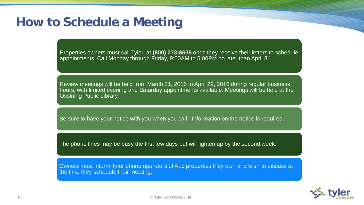### **How to Schedule a Meeting**

Properties owners must call Tyler, at **(800) 273-8605** once they receive their letters to schedule appointments. Call Monday through Friday, 9:00AM to 5:00PM no later than April 8<sup>th.</sup>

Review meetings will be held from March 21, 2016 to April 29, 2016 during regular business hours, with limited evening and Saturday appointments available. Meetings will be held at the Ossining Public Library.

Be sure to have your notice with you when you call. Information on the notice is required.

The phone lines may be busy the first few days but will lighten up by the second week.

Owners must inform Tyler phone operators of ALL properties they own and wish to discuss at the time they schedule their meeting.

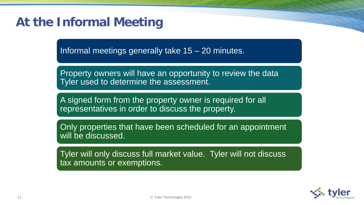## **At the Informal Meeting**

Informal meetings generally take 15 – 20 minutes.

Property owners will have an opportunity to review the data Tyler used to determine the assessment.

A signed form from the property owner is required for all representatives in order to discuss the property.

Only properties that have been scheduled for an appointment will be discussed.

Tyler will only discuss full market value. Tyler will not discuss tax amounts or exemptions.

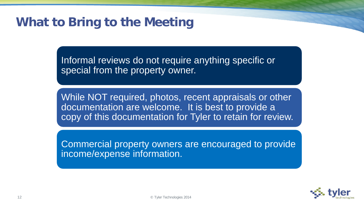## **What to Bring to the Meeting**

Informal reviews do not require anything specific or special from the property owner.

While NOT required, photos, recent appraisals or other documentation are welcome. It is best to provide a copy of this documentation for Tyler to retain for review.

Commercial property owners are encouraged to provide income/expense information.

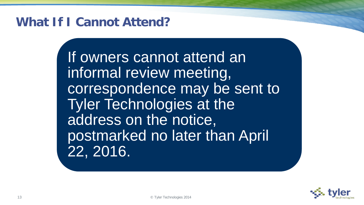### **What If I Cannot Attend?**

If owners cannot attend an informal review meeting, correspondence may be sent to Tyler Technologies at the address on the notice, postmarked no later than April 22, 2016.

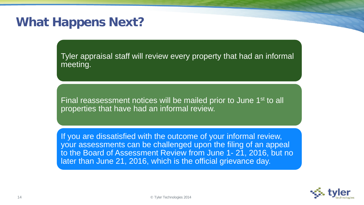### **What Happens Next?**

Tyler appraisal staff will review every property that had an informal meeting.

Final reassessment notices will be mailed prior to June 1st to all properties that have had an informal review.

If you are dissatisfied with the outcome of your informal review, your assessments can be challenged upon the filing of an appeal to the Board of Assessment Review from June 1- 21, 2016, but no later than June 21, 2016, which is the official grievance day.